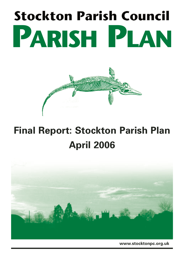# **Stockton Parish Council PARISH PLAN**



## **Final Report: Stockton Parish Plan April 2006**



**www.stocktonpc.org.uk**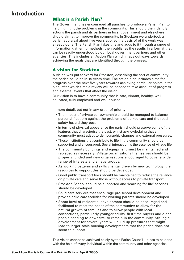#### **Introduction**

#### **What is a Parish Plan?**

The Government has encouraged all parishes to produce a Parish Plan to help highlight the problems in the community. This should then identify actions the parish and its partners in local government and elsewhere should aim at to improve the community. In Stockton we undertook a parish appraisal about five years ago, so the basis of of the work was already done. The Parish Plan takes this and adds to it through a range of information gathering methods, then publishes the results in a format that can be readily understood by our local government partners and other agencies. This includes an Action Plan which maps out ways towards achieving the goals that are identified through the process.

#### **A vision for Stockton**

A vision was put forward for Stockton, describing the sort of community the parish could be in 15 years time. The action plan includes aims for progress over the next five years towards achieving particular points in the plan, after which time a review will be needed to take account of progress and external events that affect the vision.

Our vision is to have a community that is safe, vibrant, healthy, welleducated, fully employed and well-housed.

In more detail, but not in any order of priority:

- The impact of private car ownership should be managed to balance personal freedom against the problems of parked cars and the road safety hazard they pose.
- In terms of physical appearance the parish should preserve some of the features that characterise the past, whilst acknowledging that a community must adapt to demographic changes and external pressures.
- Those institutions that contribute to life in the community should be supported and encouraged. Social interaction is the essence of village life.
- The community buildings and equipment must be maintained and replaced as necessary. Village organisations themselves should be properly funded and new organisations encouraged to cover a wider range of interests and all age groups.
- As working patterns and skills change, driven by new technology, the resources to support this should be developed.
- Good public transport links should be maintained to reduce the reliance on private cars and serve those without access to private transport.
- Stockton School should be supported and 'learning for life' services should be developed.
- Child care services that encourage pre-school development and provide child care facilities for working parents should be developed.
- Some level of residential development should be encouraged and facilitated to meet the needs of the community: to allow for the natural growth of families and to allow people with local connections, particularly younger adults, first-time buyers and older people needing to downsize, to remain in the community. Stifling all development for several years will build up pressures that might lead to larger-scale housing developments that the parish does not seem to support.

This Vision cannot be achieved solely by the Parish Council – it has to be done with the help of every individual within the community and other agencies.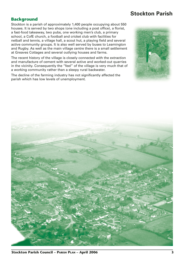#### **Stockton Parish**

#### **Background**

Stockton is a parish of approximately 1,400 people occupying about 550 houses. It is served by two shops (one including a post office), a florist, a fast-food takeaway, two pubs, one working men's club, a primary school, a CofE church, a football and cricket club with facilities for netball and tennis, a village hall, a scout hut, a playing field and several active community groups. It is also well served by buses to Leamington and Rugby. As well as the main village centre there is a small settlement at Greaves Cottages and several outlying houses and farms.

The recent history of the village is closely connected with the extraction and manufacture of cement with several active and worked-out quarries in the vicinity. Consequently the "feel" of the village is very much that of a working community rather than a sleepy rural backwater.

The decline of the farming industry has not significantly affected the parish which has low levels of unemployment.



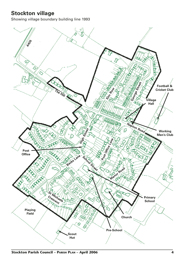#### **Stockton village**

Showing village boundary building line 1993

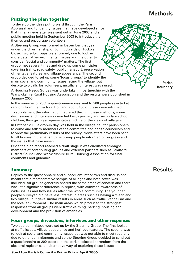#### **Methods**

#### **Putting the plan together**

To develop the ideas put forward through the Parish Appraisal and to identify issues that have developed since that time, a newsletter was sent out in June 2003 and a public meeting held in September 2003 to introduce the themes and encourage volunteers.

A Steering Group was formed in December that year under the chairmanship of John Edwards of Tuckwell Close. Two sub-groups were formed, one to look in more detail at 'environmental' issues and the other to consider 'social and community' matters. The first group met several times and drew up some principles covering traffic, road safety, public transport, preservation of heritage features and village appearance. The second group decided to set up some 'focus groups' to identify the main social and community issues facing the village, but despite two calls for volunteers, insufficient interest was raised.

A Housing Needs Survey was undertaken in partnership with the Warwickshire Rural Housing Association and the results were published in January 2005.

In the summer of 2005 a questionnaire was sent to 200 people selected at random from the Electoral Roll and about 100 of these were returned.

To supplement the information gathered through these methods, some discussions and interviews were held with primary and secondary school children, thus giving a representative picture of the views of villagers.

In October 2005 a drop-in day was held in the village hall for parishioners to come and talk to members of the committee and parish councillors and to view the preliminary results of the survey. Newsletters have been sent to all houses in the parish to help keep people informed of progress and the issues that have arisen.

Once the plan report reached a draft stage it was circulated amongst members of contributing groups and external partners such as Stratford District Council and Warwickshire Rural Housing Association for final comments and guidance.

#### **Summary**

Replies to the questionnaire and subsequent interviews and discussions meant that a representative sample of all ages and both sexes was included. All groups generally shared the same areas of concern and there was little significant difference in replies, with common awareness of wider issues and how issues affect the whole community. The younger people surveyed did have less interest in areas such as having a 'clean and tidy village', but gave similar results in areas such as traffic, vandalism and the local environment. The main areas which produced the strongest responses from all groups were traffic calming, parking, housing and development and the provision of amenities

#### **Focus groups, discussions, interviews and other responses**

Two sub-committees were set up by the Steering Group. The first looked at traffic issues, village appearance and heritage features. The second was to look at social and community issues but was not able to meet regularly due to other commitments and so the Steering Group decided to send out a questionnaire to 200 people in the parish selected at random from the electoral register as an alternative way of exploring these issues.

**Parish Boundary**

#### **Results**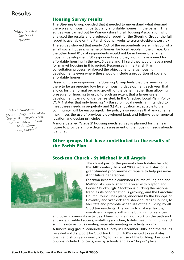"More housing for local <sup>p</sup>eople."

"More investment in games, plays, education for youth: youth club, karate, games, best kept village competitions"

#### **Housing Survey results**

The Steering Group decided that it needed to understand what demand there was for housing, particularly affordable homes, in the parish. This survey was carried out by Warwickshire Rural Housing Association who analysed the results and produced a report for the Steering Group (the full report is available on the Parish Council website **www.stocktonpc.org.uk**).

The survey showed that nearly 75% of the respondents were in favour of a small social housing scheme of homes for local people in the village. On the other hand 61% of respondents would not be in favour of a large housing development. 30 respondents said they would have a need for affordable housing in the next 5 years and 11 said they would have a need for market housing in this period. Responses in the Parish Plan consultation process reinforced the objections to large housing developments even where these would include a proportion of social or affordable homes.

Based on these responses the Steering Group feels that it is sensible for there to be an ongoing low level of housing development each year that allows for the normal organic growth of the parish, rather than allowing pressure for housing to grow to such an extent that a larger scale development can no longer be resisted. In the Stratford Local Plan, Policy COM.1 states that only housing 1.) Based on local needs, 2.) Intended to meet these needs in perpetuity and 3.) At a location acceptable to the community, will be encouraged. The policy also requires that any scheme maximises the use of previously developed land, and follows other general location and design principles.

A more detailed 'Stage 2' housing needs survey is planned for the near future to provide a more detailed assessment of the housing needs already identified.

#### **Other groups that have contributed to the results of the Parish Plan**



#### **Stockton Church - St Michael & All Angels**

The oldest part of the present church dates back to the 14th century. In April 2006, work will start on a grant-funded programme of repairs to help preserve it for future generations.

Stockton became a combined Church of England and Methodist church, sharing a vicar with Napton and Lower Shuckburgh. Stockton is bucking the national trend as its congregation is growing, and the Parochial Church Council has plans, endorsed by the Bishops of Coventry and Warwick and Stockton Parish Council, to facilitate and promote wider use of the building by all Stockton residents. The aim is to make a flexible, user-friendly space within the building for services

and other community activities. Plans include major work on the path and entrance, disabled access, installing a kitchen, toilets, heating, lighting and sound systems, plus creating separate meeting or activity rooms.

A fundraising group conducted a survey in December 2005, and the results revealed solid support for Stockton Church (100% wanted to see it stay open) and strong approval (87.5%) for wider use of the building. Favoured options included concerts, use by schools and as a 'drop-in' place.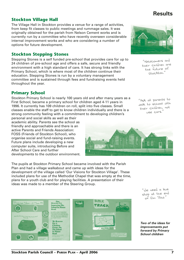#### active Parents and Friends Association: FOSS (Friends of Stockton School), who

throughout the year.

**Primary School**

**Stockton Village Hall**

options for future development.

**Stockton Stepping Stones**

organise social and fund-raising events. Future plans include developing a new computer suite, introducing Before and After School Care and further developments to the outdoor environment.

personal and social skills as well as their academic ability. Parents see the school as friendly and approachable and there is an

The pupils at Stockton Primary School became involved with the Parish Plan and had a village walkabout and came up with ideas for the development of the village called 'Our Visions for Stockton Village'. These included plans for use of the Methodist Chapel that was empty at the time, plans for a youth club and for playing facilities. A presentation of their ideas was made to a member of the Steering Group.

The Village Hall in Stockton provides a venue for a range of activities, from keep fit classes to public meetings and rummage sales. It was originally obtained for the parish from Nelson Cement works and is currently run by a committee who have recently overseen considerable internal improvement works and who are considering a number of

Stepping Stones is a self funded pre-school that provides care for up to 24 children of pre-school age and offers a safe, secure and friendly environment with a high standard of care. It has strong links with the Primary School, which is where most of the children continue their education. Stepping Stones is run by a voluntary management

committee and is sustained through fees and fundraising events held

Stockton Primary School is nearly 100 years old and after many years as a First School, became a primary school for children aged 4-11 years in 1996. It currently has 109 children on roll, split into five classes. Small classes enable the staff to get to know children individually and there is a strong community feeling with a commitment to developing children's

**Two of the ideas for improvements put**

> **forward by Primary School children**

"We need a bus stop at the en<sup>d</sup> of Elm Row."

"Newcomers an<sup>d</sup> their children are the future o<sup>f</sup> Stockton."

"Ask all parents to walk to school with their children, not use cars."





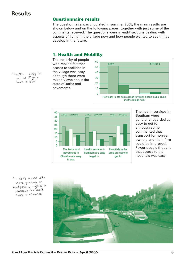#### **Questionnaire results**

The questionnaire was circulated in summer 2005; the main results are shown below and on the following pages, together with just some of the comments received. The questions were in eight sections dealing with aspects of living in the village now and how people wanted to see things develop in the future.

#### **1. Health and Mobility**

The majority of people who replied felt that access to facilities in the village was easy, although there were mixed views about the state of kerbs and pavements.





The health services in Southam were generally regarded as easy to get to, although some commented that transport for non-car owners and the infirm could be improved. Fewer people thought that access to the hospitals was easy.



"Health – easy to get to if you have a car.

"I don't agree with cars parking on footpaths; anyone in wheelchairs don't have a chance."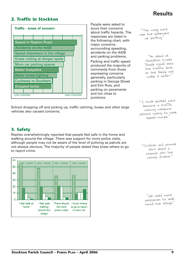#### **2. Traffic in Stockton**



People were asked to score their concerns about traffic hazards. The responses are listed in the following chart, with major concerns surrounding speeding, accidents on the A426 and parking problems. Parking and traffic speed produced the majority of comments from those expressing concerns generally, particularly parking in George Street and Elm Row, and parking on pavements and too close to junctions.

use the pavement as parking."

> "An island at Stockton Cross Roads could slow the traffic down on the A426 an<sup>d</sup> make it safer."

"I think parked cars become a traffic calming measure without having to have speed humps."

#### **3. Safety**

vehicles also caused concerns.

Replies overwhelmingly reported that people feel safe in the home and walking around the village. There was support for more police visits, although people may not be aware of the level of policing as patrols are not always obvious. The majority of people stated they knew where to go to report crime.

School dropping off and picking up, traffic calming, buses and other large



"Children and animals don't stand a chance with the maniac drivers."

"We need more policemen to walk round the village."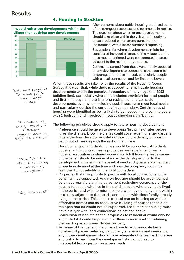

#### **4. Housing in Stockton**

After concerns about traffic, housing produced some of the strongest responses and comments in replies. The question about whether any developments should take place within the village or in outlying areas produced either strong agreement or indifference, with a lesser number disagreeing.

Suggestions for where developments might be considered included all areas of the village, but the ones most mentioned were concentrated in areas adjacent to the main through routes.

Comments ranged from those vehemently opposed to any development to suggestions that some be encouraged for those in need, particularly people with a local connection and for first time buyers.

When these results are taken with the results of the Housing Needs Survey it is clear that, while there is support for small-scale housing developments within the perceived boundary of the village (the 1993 building line), particularly where this includes provision for local people and first-time buyers, there is strong resistance to larger scale developments, even when including social housing to meet local needs, and particularly outside the current village boundary. Certain types of housing were identified as being likely to be needed in the coming years, with 2-bedroom and 4-bedroom houses showing significantly.

"Only small bungalows for single people living in large houses."

"Stockton is big enough already; if it became bigger it would no longer be a village!"

"Brownfield sites rather than building in the outlying countryside."

"Why build more?"

The following principles should apply to future housing development.

- Preference should be given to developing 'brownfield' sites before 'greenfield' sites. Brownfield sites could cover existing larger gardens where the final development did not lead to the density of housing being out of keeping with the rest of the village.
- Developments of affordable homes would be supported. Affordable housing in this context means properties available to rent from a housing association or shared ownership. A full housing needs survey of the parish should be undertaken by the developer prior to the development to determine the level of need and type size and tenure of property in demand at the time and how the occupancy would be restricted to households with a local connection.
- Properties that give priority to people with local connections to the parish will be supported. Any new housing should be accompanied by an appropriate planning agreement restricting occupancy of the houses to people who live in the parish, people who previously lived in the parish and wish to return, people who have employment within or closely adjacent to the parish, and people with close family already living in the parish. This applies to local market housing as well as affordable homes and so speculative building of houses for sale on the open market would not be supported. Local market housing must have a buyer with local connections as defined above.
- Conversion of non-residential properties to residential would only be supported if it could be proven that there is no market for retaining the building as a non-residential property.
- As many of the roads in the village have to accommodate large numbers of parked vehicles, particularly at evenings and weekends, any future development should have adequate off-street parking areas and traffic to and from the development should not lead to unacceptable congestion on access roads.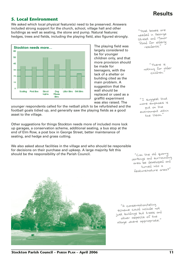#### **5. Local Environment**

We asked which local physical feature(s) need to be preserved. Answers included strong support for the church, school, village hall and other buildings as well as seating, the stone and pump. Natural features: hedges, trees and fields, including the playing field, also figured strongly.



largely considered to be for younger children only, and that more provision should be made for teenagers, with the lack of a shelter or building cited as the main problem. A suggestion that the wall should be replaced or used as a graffiti experiment was also raised. The

younger respondents called for the netball pitch to be refurbished and the football goals tidied up, and generally saw the playing fields as a good asset to the village.

Other suggestions for things Stockton needs more of included more lock up garages, a conservation scheme, additional seating, a bus stop at the end of Elm Row, a post box in George Street, better maintenance of seating, and hedge and grass cutting.

We also asked about facilities in the village and who should be responsible for decisions on their purchase and upkeep. A large majority felt this should be the responsibility of the Parish Council.

"Post boxes are needed in George Street and Manor Road for elderly

> "There is nothing for older children."

"I suggest that more emphasis is put on the environment within the Vision."

"Can the old quarry workings and surrounding area be developed and turned into a feature/nature area?"

"A conservation/listing scheme could include not just buildings but trees an<sup>d</sup> other aspects of the village where appropriate."

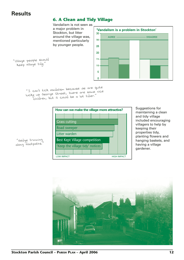#### **6. A Clean and Tidy Village**

Vandalism is not seen as a major problem in Stockton, but litter around the village was, mentioned particularly by younger people.



"Village people should keep village tidy."

> "I can't tick vandalism because we are quite lucky up George Street, there are some nice children, but it could be a lot tidier."



Suggestions for maintaining a clean and tidy village included encouraging villagers to help by keeping their properties tidy, planting flowers and hanging baskets, and having a village gardener.



"Hedge trimming along footpaths."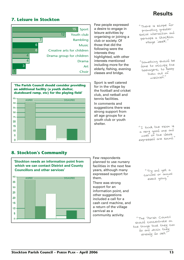#### **7. Leisure in Stockton**



**'The Parish Council should consider providing an additional facility (a youth shelter, skateboard ramp, etc) for the playing field'**



Few people expressed a desire to engage in leisure activities by organising or joining a club or society. Of those that did the following were the interests they highlighted, with other interests mentioned including more for the elderly, fishing, evening classes and bridge.

Sport is well catered for in the village by the football and cricket club, and netball and tennis facilities.

In comments and suggestions there was strong support from all age groups for a youth club or youth shelter.

"There is scope for promoting greater social interaction an<sup>d</sup> perhaps a Stockton village 'week'."

"Something should be done to occupy the teenagers, to keep them out of mischief."

"I think the vision is a very good one and most of the ideals expressed are sound."

#### **8. Stockton's Community**

20 15 10 ŀ, Ō.

**'Stockton needs an information point from which we can contact District and County Councillors and other services'** 40 AGREE ––––––––––––––––––––––––––– DISAGREE 36  $30\,$ 26

Few respondents planned to use nursery facilities in the next few years, although many expressed support for them.

There was strong support for an information point, and other suggestions included a call for a cash card machine, and a return of the village carnival as a community activity.

"Try and get a carnival or annua<sup>l</sup> event going."

"The Parish Counci<sup>l</sup> should concentrate on the things that they can do and which they already do well."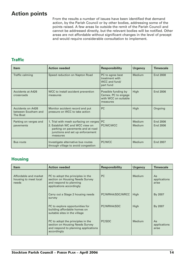#### **Action points**

From the results a number of issues have been identified that demand action, by the Parish Council or by other bodies, addressing some of the points raised. A few areas lie outside the remit of the Parish Council and cannot be addressed directly, but the relevant bodies will be notified. Other areas are not affordable without significant changes in the level of precept and would require considerable consultation to implement.

#### **Traffic**

| <b>Item</b>                                                 | <b>Action needed</b>                                                                                                                                            | <b>Responsibility</b>                                                          | <b>Urgency</b>          | <b>Timescale</b>     |
|-------------------------------------------------------------|-----------------------------------------------------------------------------------------------------------------------------------------------------------------|--------------------------------------------------------------------------------|-------------------------|----------------------|
| Traffic calming                                             | Speed reduction on Napton Road                                                                                                                                  | PC to agree best<br>treatment with<br>WCC and fund/<br>part fund               | Medium                  | <b>End 2008</b>      |
| <b>Accidents at A426</b><br>crossroads                      | WCC to install accident prevention<br>measures                                                                                                                  | Possible funding by<br>Cemex. PC to engage<br>with WCC on suitable<br>measures | High                    | <b>End 2006</b>      |
| <b>Accidents on A426</b><br>between Southam and<br>The Boat | Monitor accident record and put<br>pressure on WCC to take action                                                                                               | <b>PC</b>                                                                      | High                    | Ongoing              |
| Parking on verges and<br>pavements                          | 1. Trial with mesh surfacing on verges  <br>2. Establish WC and WCC view on<br>parking on pavements and at road<br>junctions and set up enforcement<br>measures | PC<br>PC/WC/WCC                                                                | Medium<br><b>Medium</b> | End 2006<br>End 2006 |
| <b>Bus route</b>                                            | Investigate alternative bus routes<br>through village to avoid congestion                                                                                       | PC/WCC                                                                         | <b>Medium</b>           | End 2007             |

#### **Housing**

| <b>Item</b>                                             | <b>Action needed</b>                                                                                                        | <b>Responsibility</b> | <b>Urgency</b> | <b>Timescale</b>            |
|---------------------------------------------------------|-----------------------------------------------------------------------------------------------------------------------------|-----------------------|----------------|-----------------------------|
| Affordable and market<br>housing to meet local<br>needs | PC to adopt the principles in the<br>section on Housing Needs Survey<br>and respond to planning<br>applications accordingly | <b>PC</b>             | <b>Medium</b>  | As<br>applications<br>arise |
|                                                         | Carry out a Stage 2 housing needs<br>survey                                                                                 | PC/WRHA/SDC/WRCC      | High           | By 2007                     |
|                                                         | PC to explore opportunities for<br>building affordable homes on<br>suitable sites in the village                            | PC/WRHA/SDC           | High           | By 2007                     |
|                                                         | PC to adopt the principles in the<br>section on Housing Needs Survey<br>and respond to planning applications<br>accordingly | PC/SDC                | Medium         | As<br>applications<br>arise |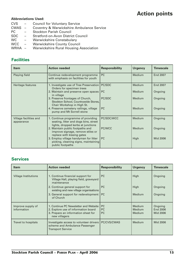#### **Action points**

#### **Abbreviations Used:**

- CVS Council for Voluntary Service
- CWAS Coventry & Warwickshire Ambulance Service
- PC Stockton Parish Council
- SDC Stratford-on-Avon District Council
- WC Warwickshire Constabulary
- WCC Warwickshire County Council
- WRHA Warwickshire Rural Housing Association

#### **Facilities**

| <b>Item</b>                          | <b>Action needed</b>                                                                                              | <b>Responsibility</b> | <b>Urgency</b> | <b>Timescale</b> |
|--------------------------------------|-------------------------------------------------------------------------------------------------------------------|-----------------------|----------------|------------------|
| Playing field                        | Continue redevelopment programme<br>with emphasis on facilities for youth                                         | PC                    | Medium         | End 2007         |
| Heritage features                    | 1. Investigate use of Tree Preservation<br>Orders for specimen trees                                              | PC/SDC                | Medium         | End 2007         |
|                                      | 2. Maintain and preserve open spaces<br>in village                                                                | <b>PC</b>             | Medium         | Ongoing          |
|                                      | 3. Preserve frontages of Church,<br>Stockton School, Countrywide Stores,<br>Chair Workshop in High St.            | PC/SDC                | Medium         | Ongoing          |
|                                      | 4. Preserve cemetery railings, village<br>pump and Mt Sorrell stone                                               | <b>PC</b>             | Medium         | Ongoing          |
| Village facilities and<br>appearance | 1. Continue programme of providing<br>seating, litter and dogs bins, street<br>lights, dropped kerbs at junctions | PC/SDC/WCC            | Medium         | Ongoing          |
|                                      | 2. Maintain public footpaths and<br>improve signage, remove stiles or<br>replace with kissing gates               | PC/WCC                | Medium         | Ongoing          |
|                                      | 3. Employ village handyman for litter<br>picking, cleaning signs, maintaining<br>public footpaths                 | <b>PC</b>             | High           | Mid 2006         |

#### **Services**

| <b>Item</b>                      | <b>Action needed</b>                                                                                                                 | <b>Responsibility</b> | <b>Urgency</b>             | <b>Timescale</b>                |
|----------------------------------|--------------------------------------------------------------------------------------------------------------------------------------|-----------------------|----------------------------|---------------------------------|
| <b>Village Institutions</b>      | 1. Continue financial support for<br>Village Hall, playing field, graveyard<br>maintenance                                           | <b>PC</b>             | High                       | Ongoing                         |
|                                  | 2. Continue general support for<br>existing and new village organisations                                                            | <b>PC</b>             | High                       | Ongoing                         |
|                                  | 3. General support for redevelopment  <br>of Church                                                                                  | <b>PC</b>             | Medium                     | Ongoing                         |
| Improve supply of<br>information | 1. Continue PC Newsletter and Website<br>2. Explore use of information board<br>3. Prepare an information sheet for<br>new villagers | PC<br>PC<br><b>PC</b> | Medium<br>Medium<br>Medium | Ongoing<br>End 2006<br>Mid 2006 |
| Travel to hospitals              | Investigate access to volunteer drivers<br>scheme and Ambulance Passenger<br>Transport Service                                       | PC/CVS/CWAS           | Medium                     | Mid 2006                        |